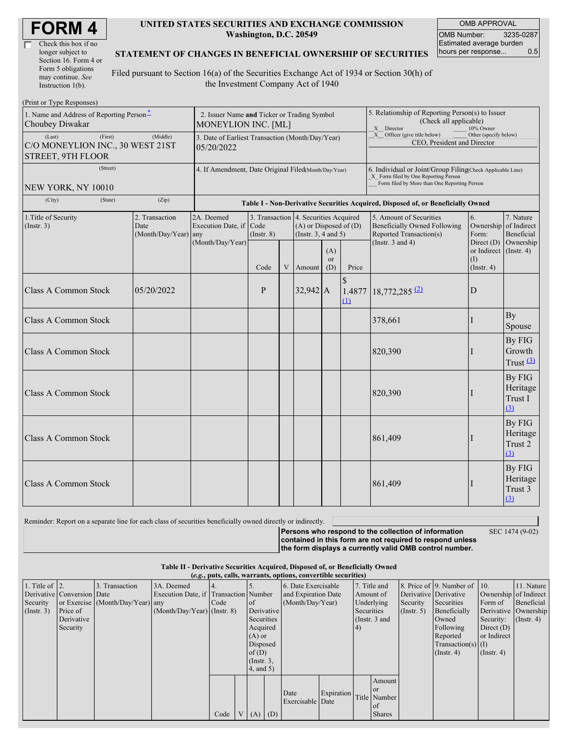| <b>FORM4</b> |
|--------------|
|--------------|

| Check this box if no  |
|-----------------------|
| longer subject to     |
| Section 16. Form 4 or |
| Form 5 obligations    |
| may continue. See     |
| Instruction $1(b)$ .  |

 $(Drint or Trma D)$ 

#### **UNITED STATES SECURITIES AND EXCHANGE COMMISSION Washington, D.C. 20549**

OMB APPROVAL OMB Number: 3235-0287 Estimated average burden hours per response... 0.5

#### **STATEMENT OF CHANGES IN BENEFICIAL OWNERSHIP OF SECURITIES**

Filed pursuant to Section 16(a) of the Securities Exchange Act of 1934 or Section 30(h) of the Investment Company Act of 1940

| THIR OF TYPE RESPONSES!                                                    |                                                                |                                                                                  |                 |                                                                                                 |            |                  |                                                                                                                                            |                                                                                                                                                    |                                        |                                      |
|----------------------------------------------------------------------------|----------------------------------------------------------------|----------------------------------------------------------------------------------|-----------------|-------------------------------------------------------------------------------------------------|------------|------------------|--------------------------------------------------------------------------------------------------------------------------------------------|----------------------------------------------------------------------------------------------------------------------------------------------------|----------------------------------------|--------------------------------------|
| 1. Name and Address of Reporting Person-<br>Choubey Diwakar                |                                                                | 2. Issuer Name and Ticker or Trading Symbol<br>MONEYLION INC. [ML]               |                 |                                                                                                 |            |                  |                                                                                                                                            | 5. Relationship of Reporting Person(s) to Issuer<br>(Check all applicable)<br>X Director<br>10% Owner                                              |                                        |                                      |
| (Last)<br>(First)<br>C/O MONEYLION INC., 30 WEST 21ST<br>STREET, 9TH FLOOR | 3. Date of Earliest Transaction (Month/Day/Year)<br>05/20/2022 |                                                                                  |                 |                                                                                                 |            |                  | X Officer (give title below)<br>CEO, President and Director                                                                                | Other (specify below)                                                                                                                              |                                        |                                      |
| (Street)<br>NEW YORK, NY 10010                                             |                                                                | 4. If Amendment, Date Original Filed(Month/Day/Year)                             |                 |                                                                                                 |            |                  |                                                                                                                                            | 6. Individual or Joint/Group Filing(Check Applicable Line)<br>X Form filed by One Reporting Person<br>Form filed by More than One Reporting Person |                                        |                                      |
| (City)<br>(State)                                                          | (Zip)                                                          | Table I - Non-Derivative Securities Acquired, Disposed of, or Beneficially Owned |                 |                                                                                                 |            |                  |                                                                                                                                            |                                                                                                                                                    |                                        |                                      |
| 1. Title of Security<br>(Insert. 3)                                        | 2. Transaction<br>Date<br>(Month/Day/Year) any                 | 2A. Deemed<br>Execution Date, if Code<br>(Month/Day/Year)                        | $($ Instr. $8)$ | 3. Transaction 4. Securities Acquired<br>$(A)$ or Disposed of $(D)$<br>(Instr. $3, 4$ and $5$ ) |            |                  | 5. Amount of Securities<br>6.<br>Beneficially Owned Following<br>Ownership of Indirect<br>Reported Transaction(s)<br>Form:<br>Direct $(D)$ |                                                                                                                                                    | 7. Nature<br>Beneficial<br>Ownership   |                                      |
|                                                                            |                                                                |                                                                                  | Code            | $\mathbf V$                                                                                     | Amount     | (A)<br>or<br>(D) | Price                                                                                                                                      | (Instr. $3$ and $4$ )                                                                                                                              | or Indirect<br>(I)<br>$($ Instr. 4 $)$ | $($ Instr. 4 $)$                     |
| <b>Class A Common Stock</b>                                                | 05/20/2022                                                     |                                                                                  | P               |                                                                                                 | $32,942$ A |                  | $\mathcal{S}$<br>1.4877<br>$\Omega$                                                                                                        | 18,772,285 (2)                                                                                                                                     | D                                      |                                      |
| <b>Class A Common Stock</b>                                                |                                                                |                                                                                  |                 |                                                                                                 |            |                  |                                                                                                                                            | 378,661                                                                                                                                            |                                        | By<br>Spouse                         |
| <b>Class A Common Stock</b>                                                |                                                                |                                                                                  |                 |                                                                                                 |            |                  |                                                                                                                                            | 820,390                                                                                                                                            |                                        | By FIG<br>Growth<br>Trust $(3)$      |
| <b>Class A Common Stock</b>                                                |                                                                |                                                                                  |                 |                                                                                                 |            |                  |                                                                                                                                            | 820,390                                                                                                                                            |                                        | By FIG<br>Heritage<br>Trust I<br>(3) |
| <b>Class A Common Stock</b>                                                |                                                                |                                                                                  |                 |                                                                                                 |            |                  |                                                                                                                                            | 861,409                                                                                                                                            |                                        | By FIG<br>Heritage<br>Trust 2<br>(3) |
| <b>Class A Common Stock</b>                                                |                                                                |                                                                                  |                 |                                                                                                 |            |                  |                                                                                                                                            | 861,409                                                                                                                                            |                                        | By FIG<br>Heritage<br>Trust 3<br>(3) |

Reminder: Report on a separate line for each class of securities beneficially owned directly or indirectly. **Persons who respond to the collection of information contained in this form are not required to respond unless the form displays a currently valid OMB control number.** SEC 1474 (9-02)

#### **Table II - Derivative Securities Acquired, Disposed of, or Beneficially Owned (***e.g.***, puts, calls, warrants, options, convertible securities)**

1. Title of Derivative Conversion Security (Instr. 3) 2. or Exercise Price of Derivative Security 3. Transaction Date (Month/Day/Year) 3A. Deemed Execution Date, if any (Month/Day/Year) 4. Transaction Code (Instr. 8) 5. Number of Derivative **Securities** Acquired  $(A)$  or Disposed  $of(D)$ (Instr. 3, 4, and 5) 6. Date Exercisable and Expiration Date (Month/Day/Year) 7. Title and Amount of Underlying **Securities** (Instr. 3 and 4) 8. Price of 9. Number of Derivative Derivative Security (Instr. 5) Securities Beneficially Owned Following Reported Transaction(s) (Instr. 4) 10. Ownership of Indirect Form of Derivative Security: Direct (D) or Indirect (I) (Instr. 4) 11. Nature Beneficial Ownership  $(Insert. 4)$ Code  $V (A) (D)$ Date Exercisable Date Expiration Title Amount or Number of Shares